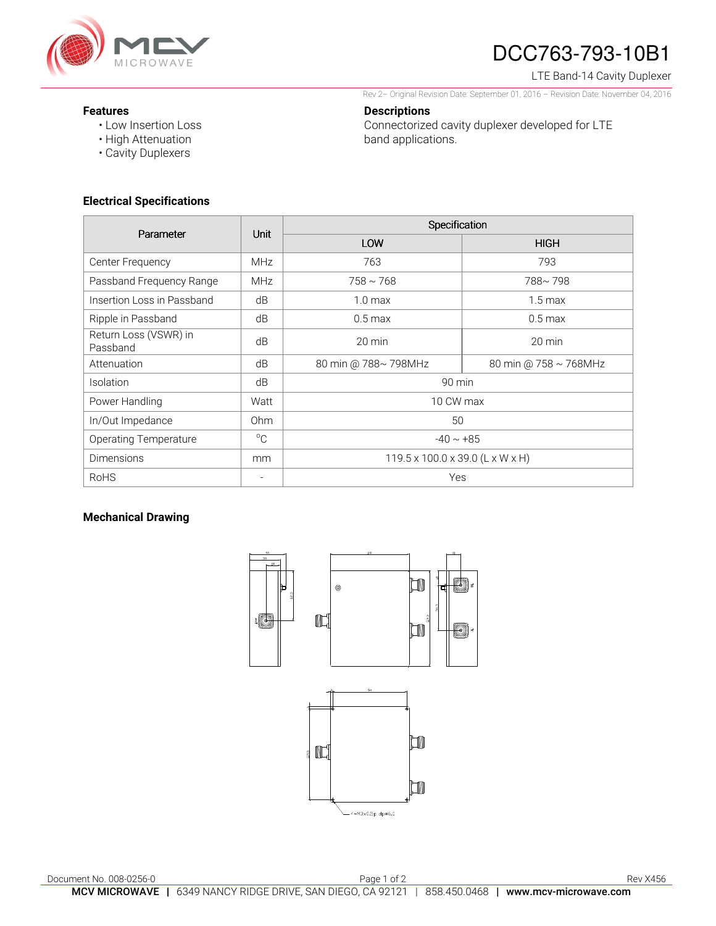

# DCC763-793-10B1

LTE Band-14 Cavity Duplexer

**Features** 

• Low Insertion Loss

Rev 2– Original Revision Date: September 01, 2016 – Revision Date: November 04, 2016 **Descriptions** 

Connectorized cavity duplexer developed for LTE

band applications.

- 
- High Attenuation
- Cavity Duplexers

### **Electrical Specifications**

| Parameter                         | <b>Unit</b>     | Specification                                |                       |
|-----------------------------------|-----------------|----------------------------------------------|-----------------------|
|                                   |                 | LOW                                          | <b>HIGH</b>           |
| Center Frequency                  | <b>MHz</b>      | 763                                          | 793                   |
| Passband Frequency Range          | MHz             | $758 \sim 768$                               | 788~798               |
| Insertion Loss in Passband        | dB              | 1.0 <sub>max</sub>                           | $1.5 \text{ max}$     |
| Ripple in Passband                | dB              | $0.5 \text{ max}$                            | $0.5$ max             |
| Return Loss (VSWR) in<br>Passband | dB              | $20 \text{ min}$                             | $20 \text{ min}$      |
| Attenuation                       | dB              | 80 min @ 788~ 798MHz                         | 80 min @ 758 ~ 768MHz |
| Isolation                         | dB              | 90 min                                       |                       |
| Power Handling                    | Watt            | 10 CW max                                    |                       |
| In/Out Impedance                  | 0 <sub>hm</sub> | 50                                           |                       |
| <b>Operating Temperature</b>      | $^{\circ}$ C    | $-40 \sim +85$                               |                       |
| <b>Dimensions</b>                 | mm              | $119.5 \times 100.0 \times 39.0$ (L x W x H) |                       |
| <b>RoHS</b>                       | -               | Yes                                          |                       |

### **Mechanical Drawing**